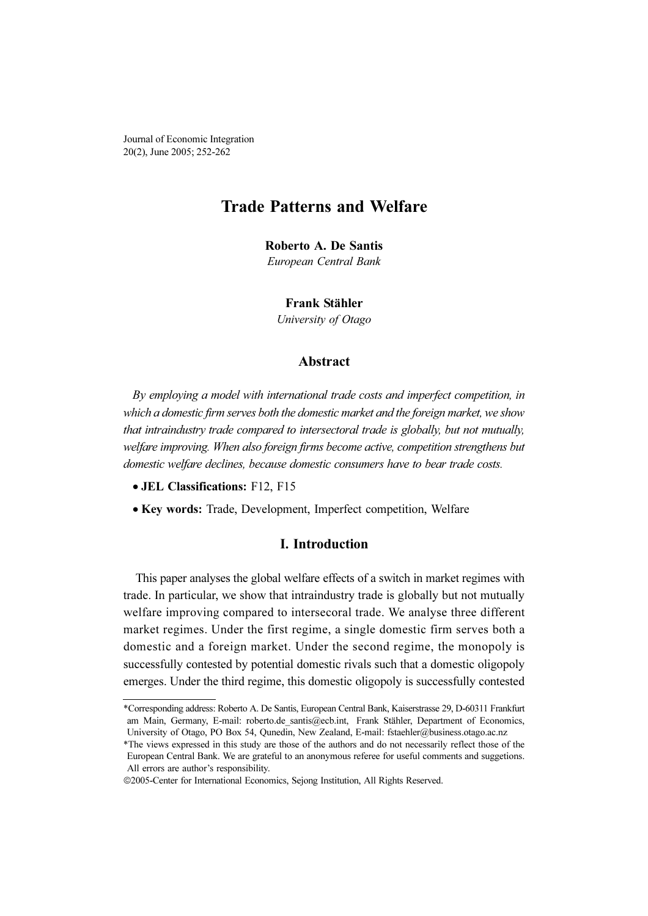Journal of Economic Integration 20(2), June 2005; 252-262

# Trade Patterns and Welfare

Roberto A. De Santis

European Central Bank

#### Frank Stähler

University of Otago

# Abstract

By employing a model with international trade costs and imperfect competition, in which a domestic firm serves both the domestic market and the foreign market, we show that intraindustry trade compared to intersectoral trade is globally, but not mutually, welfare improving. When also foreign firms become active, competition strengthens but domestic welfare declines, because domestic consumers have to bear trade costs.

- JEL Classifications: F12, F15
- Key words: Trade, Development, Imperfect competition, Welfare

# I. Introduction

This paper analyses the global welfare effects of a switch in market regimes with trade. In particular, we show that intraindustry trade is globally but not mutually welfare improving compared to intersecoral trade. We analyse three different market regimes. Under the first regime, a single domestic firm serves both a domestic and a foreign market. Under the second regime, the monopoly is successfully contested by potential domestic rivals such that a domestic oligopoly emerges. Under the third regime, this domestic oligopoly is successfully contested

<sup>\*</sup>Corresponding address: Roberto A. De Santis, European Central Bank, Kaiserstrasse 29, D-60311 Frankfurt am Main, Germany, E-mail: roberto.de\_santis@ecb.int, Frank Stähler, Department of Economics, University of Otago, PO Box 54, Qunedin, New Zealand, E-mail: fstaehler@business.otago.ac.nz

<sup>\*</sup>The views expressed in this study are those of the authors and do not necessarily reflect those of the European Central Bank. We are grateful to an anonymous referee for useful comments and suggetions. All errors are author's responsibility.

<sup>©</sup>2005-Center for International Economics, Sejong Institution, All Rights Reserved.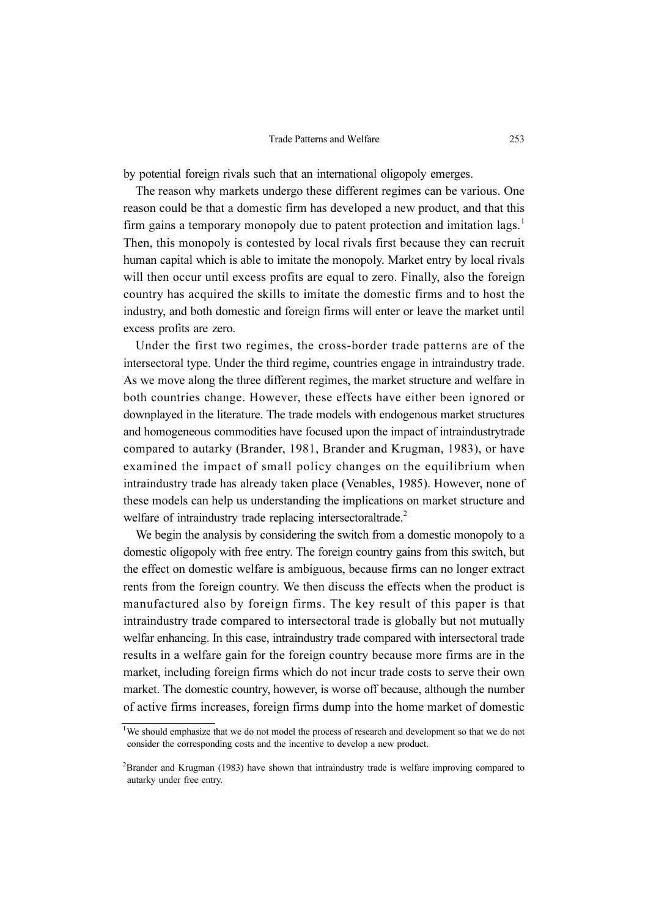by potential foreign rivals such that an international oligopoly emerges.

The reason why markets undergo these different regimes can be various. One reason could be that a domestic firm has developed a new product, and that this firm gains a temporary monopoly due to patent protection and imitation lags.<sup>1</sup> Then, this monopoly is contested by local rivals first because they can recruit human capital which is able to imitate the monopoly. Market entry by local rivals will then occur until excess profits are equal to zero. Finally, also the foreign country has acquired the skills to imitate the domestic firms and to host the industry, and both domestic and foreign firms will enter or leave the market until excess profits are zero.

Under the first two regimes, the cross-border trade patterns are of the intersectoral type. Under the third regime, countries engage in intraindustry trade. As we move along the three different regimes, the market structure and welfare in both countries change. However, these effects have either been ignored or downplayed in the literature. The trade models with endogenous market structures and homogeneous commodities have focused upon the impact of intraindustrytrade compared to autarky (Brander, 1981, Brander and Krugman, 1983), or have examined the impact of small policy changes on the equilibrium when intraindustry trade has already taken place (Venables, 1985). However, none of these models can help us understanding the implications on market structure and welfare of intraindustry trade replacing intersectoraltrade.<sup>2</sup>

We begin the analysis by considering the switch from a domestic monopoly to a domestic oligopoly with free entry. The foreign country gains from this switch, but the effect on domestic welfare is ambiguous, because firms can no longer extract rents from the foreign country. We then discuss the effects when the product is manufactured also by foreign firms. The key result of this paper is that intraindustry trade compared to intersectoral trade is globally but not mutually welfar enhancing. In this case, intraindustry trade compared with intersectoral trade results in a welfare gain for the foreign country because more firms are in the market, including foreign firms which do not incur trade costs to serve their own market. The domestic country, however, is worse off because, although the number of active firms increases, foreign firms dump into the home market of domestic

<sup>1</sup> We should emphasize that we do not model the process of research and development so that we do not consider the corresponding costs and the incentive to develop a new product.

<sup>2</sup> Brander and Krugman (1983) have shown that intraindustry trade is welfare improving compared to autarky under free entry.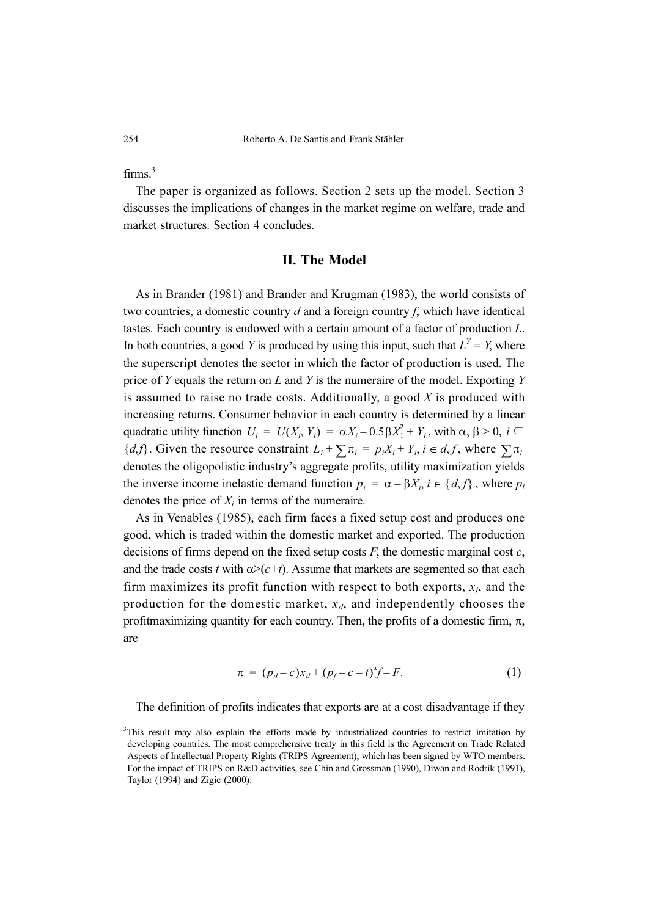firms $^3$ 

The paper is organized as follows. Section 2 sets up the model. Section 3 discusses the implications of changes in the market regime on welfare, trade and market structures. Section 4 concludes.

#### II. The Model

As in Brander (1981) and Brander and Krugman (1983), the world consists of two countries, a domestic country  $d$  and a foreign country  $f$ , which have identical tastes. Each country is endowed with a certain amount of a factor of production L. In both countries, a good Y is produced by using this input, such that  $L^Y = Y$ , where the superscript denotes the sector in which the factor of production is used. The price of  $Y$  equals the return on  $L$  and  $Y$  is the numeraire of the model. Exporting  $Y$ is assumed to raise no trade costs. Additionally, a good  $X$  is produced with increasing returns. Consumer behavior in each country is determined by a linear quadratic utility function  $U_i = U(X_i, Y_i) = \alpha X_i - 0.5 \beta X_1^2 + Y_i$ , with  $\alpha, \beta > 0$ ,  $i \in \mathbb{R}$  ${d, f}$ . Given the resource constraint  $L_i + \sum_i \pi_i = p_i X_i + Y_i$ ,  $i \in d, f$ , where  $\sum_i \pi_i$ denotes the oligopolistic industry's aggregate profits, utility maximization yields the inverse income inelastic demand function  $p_i = \alpha - \beta X_i$ ,  $i \in \{d, f\}$ , where  $p_i$ denotes the price of  $X_i$  in terms of the numeraire.

As in Venables (1985), each firm faces a fixed setup cost and produces one good, which is traded within the domestic market and exported. The production decisions of firms depend on the fixed setup costs  $F$ , the domestic marginal cost  $c$ , and the trade costs t with  $\alpha$ >(c+t). Assume that markets are segmented so that each firm maximizes its profit function with respect to both exports,  $x_f$ , and the production for the domestic market,  $x_d$ , and independently chooses the profitmaximizing quantity for each country. Then, the profits of a domestic firm,  $\pi$ , are

$$
\pi = (p_d - c)x_d + (p_f - c - t)^{x} f - F.
$$
 (1)

The definition of profits indicates that exports are at a cost disadvantage if they

<sup>3</sup> This result may also explain the efforts made by industrialized countries to restrict imitation by developing countries. The most comprehensive treaty in this field is the Agreement on Trade Related Aspects of Intellectual Property Rights (TRIPS Agreement), which has been signed by WTO members. For the impact of TRIPS on R&D activities, see Chin and Grossman (1990), Diwan and Rodrik (1991), Taylor (1994) and Zigic (2000).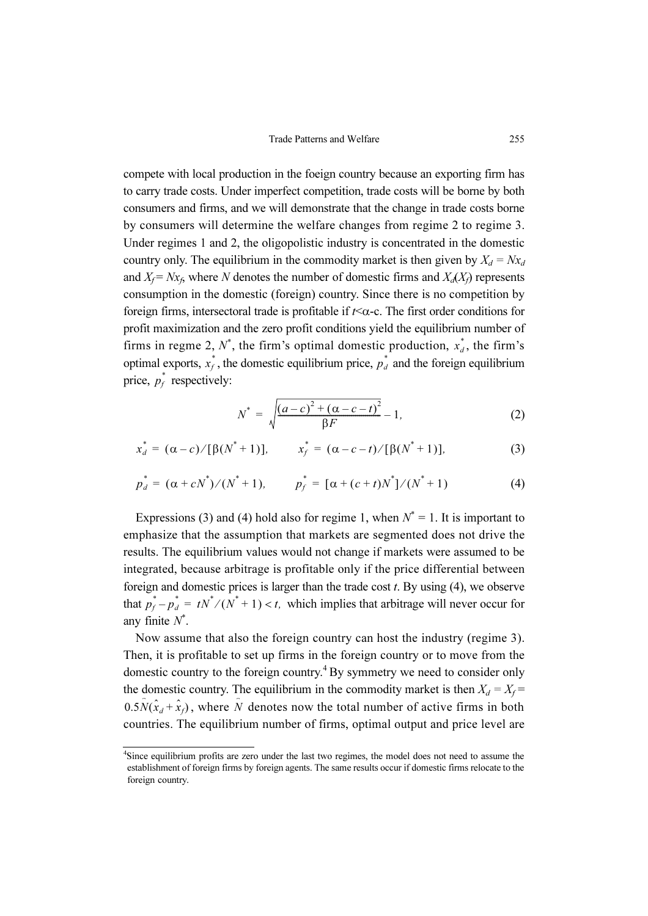compete with local production in the foeign country because an exporting firm has to carry trade costs. Under imperfect competition, trade costs will be borne by both consumers and firms, and we will demonstrate that the change in trade costs borne by consumers will determine the welfare changes from regime 2 to regime 3. Under regimes 1 and 2, the oligopolistic industry is concentrated in the domestic country only. The equilibrium in the commodity market is then given by  $X_d = Nx_d$ and  $X_f = Nx_f$ , where N denotes the number of domestic firms and  $X_d(X_f)$  represents consumption in the domestic (foreign) country. Since there is no competition by foreign firms, intersectoral trade is profitable if  $t<\alpha$ -c. The first order conditions for profit maximization and the zero profit conditions yield the equilibrium number of firms in regme 2,  $N^*$ , the firm's optimal domestic production,  $x_d^*$ , the firm's optimal exports,  $x_t^*$ , the domestic equilibrium price,  $p_d^*$  and the foreign equilibrium price,  $p_f^*$  respectively:

$$
N^* = \sqrt{\frac{(a-c)^2 + (\alpha - c - t)^2}{\beta F}} - 1,
$$
 (2)

$$
x_d^* = (\alpha - c) / [\beta(N^* + 1)], \qquad x_f^* = (\alpha - c - t) / [\beta(N^* + 1)], \qquad (3)
$$

$$
p_d^* = (\alpha + cN^*)/(N^* + 1), \qquad p_f^* = [\alpha + (c + t)N^*]/(N^* + 1)
$$
 (4)

Expressions (3) and (4) hold also for regime 1, when  $N^* = 1$ . It is important to emphasize that the assumption that markets are segmented does not drive the results. The equilibrium values would not change if markets were assumed to be integrated, because arbitrage is profitable only if the price differential between foreign and domestic prices is larger than the trade cost  $t$ . By using  $(4)$ , we observe that  $p_f^* - p_d^* = tN^* / (N^* + 1) < t$ , which implies that arbitrage will never occur for any finite  $N^*$ .

Now assume that also the foreign country can host the industry (regime 3). Then, it is profitable to set up firms in the foreign country or to move from the domestic country to the foreign country.<sup>4</sup>By symmetry we need to consider only the domestic country. The equilibrium in the commodity market is then  $X_d = X_f =$  $0.5\hat{N}(\hat{x}_d + \hat{x}_f)$ , where  $\hat{N}$  denotes now the total number of active firms in both countries. The equilibrium number of firms, optimal output and price level are

<sup>4</sup> Since equilibrium profits are zero under the last two regimes, the model does not need to assume the establishment of foreign firms by foreign agents. The same results occur if domestic firms relocate to the foreign country.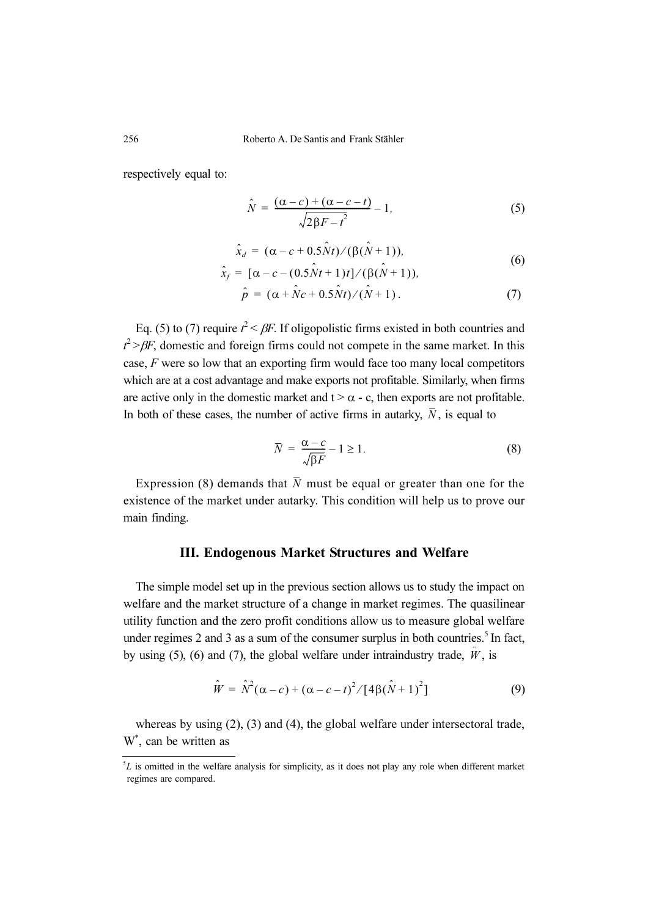respectively equal to:

$$
\hat{N} = \frac{(\alpha - c) + (\alpha - c - t)}{\sqrt{2\beta F - t^2}} - 1,\tag{5}
$$

$$
\hat{x}_d = (\alpha - c + 0.5 \hat{N} t) / (\hat{\beta} (\hat{N} + 1)),
$$
\n(6)

$$
\hat{x}_f = [\alpha - c - (0.5\hat{N}t + 1)t]/(\beta(\hat{N} + 1)),\tag{6}
$$

$$
\hat{p} = (\alpha + \hat{N}c + 0.5\hat{N}t) / (\hat{N} + 1).
$$
\n(7)

Eq. (5) to (7) require  $t^2 < \beta F$ . If oligopolistic firms existed in both countries and  $t^2 > \beta F$ , domestic and foreign firms could not compete in the same market. In this case, F were so low that an exporting firm would face too many local competitors which are at a cost advantage and make exports not profitable. Similarly, when firms are active only in the domestic market and  $t > \alpha - c$ , then exports are not profitable. In both of these cases, the number of active firms in autarky,  $\overline{N}$ , is equal to

$$
\overline{N} = \frac{\alpha - c}{\sqrt{\beta F}} - 1 \ge 1.
$$
\n(8)

Expression (8) demands that  $\overline{N}$  must be equal or greater than one for the existence of the market under autarky. This condition will help us to prove our main finding.

# III. Endogenous Market Structures and Welfare

The simple model set up in the previous section allows us to study the impact on welfare and the market structure of a change in market regimes. The quasilinear utility function and the zero profit conditions allow us to measure global welfare under regimes  $2$  and  $3$  as a sum of the consumer surplus in both countries.<sup>5</sup> In fact, by using (5), (6) and (7), the global welfare under intraindustry trade,  $\hat{W}$ , is

$$
\hat{W} = \hat{N}^2(\alpha - c) + (\alpha - c - t)^2 / [4\beta(\hat{N} + 1)^2]
$$
\n(9)

whereas by using (2), (3) and (4), the global welfare under intersectoral trade, W\* , can be written as

 ${}^{5}L$  is omitted in the welfare analysis for simplicity, as it does not play any role when different market regimes are compared.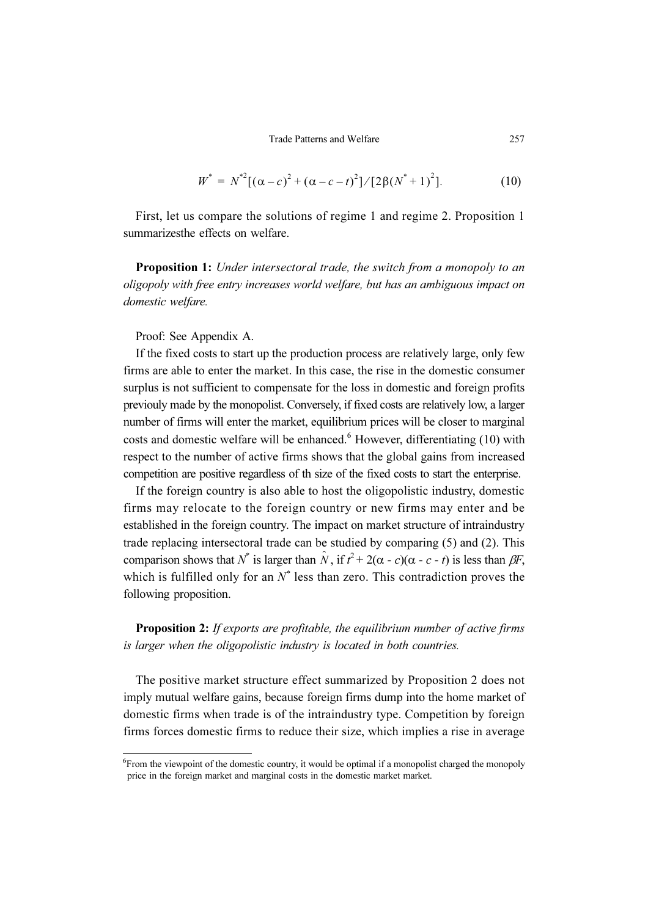$$
W^* = N^{*2}[(\alpha - c)^2 + (\alpha - c - t)^2]/[2\beta(N^* + 1)^2].
$$
 (10)

First, let us compare the solutions of regime 1 and regime 2. Proposition 1 summarizesthe effects on welfare.

Proposition 1: Under intersectoral trade, the switch from a monopoly to an oligopoly with free entry increases world welfare, but has an ambiguous impact on domestic welfare.

Proof: See Appendix A.

If the fixed costs to start up the production process are relatively large, only few firms are able to enter the market. In this case, the rise in the domestic consumer surplus is not sufficient to compensate for the loss in domestic and foreign profits previouly made by the monopolist. Conversely, if fixed costs are relatively low, a larger number of firms will enter the market, equilibrium prices will be closer to marginal costs and domestic welfare will be enhanced.<sup>6</sup> However, differentiating  $(10)$  with respect to the number of active firms shows that the global gains from increased competition are positive regardless of th size of the fixed costs to start the enterprise.

If the foreign country is also able to host the oligopolistic industry, domestic firms may relocate to the foreign country or new firms may enter and be established in the foreign country. The impact on market structure of intraindustry trade replacing intersectoral trade can be studied by comparing (5) and (2). This comparison shows that  $N^*$  is larger than  $\hat{N}$ , if  $\hat{r}^2 + 2(\alpha - c)(\alpha - c - t)$  is less than  $\beta F$ , which is fulfilled only for an  $N^*$  less than zero. This contradiction proves the following proposition.

Proposition 2: If exports are profitable, the equilibrium number of active firms is larger when the oligopolistic industry is located in both countries.

The positive market structure effect summarized by Proposition 2 does not imply mutual welfare gains, because foreign firms dump into the home market of domestic firms when trade is of the intraindustry type. Competition by foreign firms forces domestic firms to reduce their size, which implies a rise in average

<sup>6</sup> From the viewpoint of the domestic country, it would be optimal if a monopolist charged the monopoly price in the foreign market and marginal costs in the domestic market market.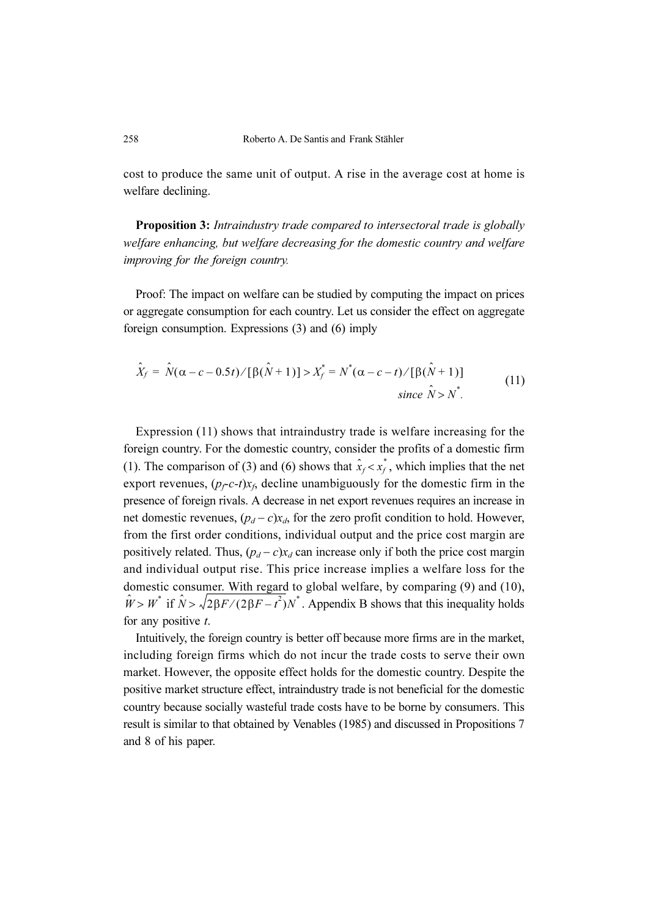cost to produce the same unit of output. A rise in the average cost at home is welfare declining.

Proposition 3: Intraindustry trade compared to intersectoral trade is globally welfare enhancing, but welfare decreasing for the domestic country and welfare improving for the foreign country.

Proof: The impact on welfare can be studied by computing the impact on prices or aggregate consumption for each country. Let us consider the effect on aggregate foreign consumption. Expressions (3) and (6) imply

$$
\hat{X}_f = \hat{N}(\alpha - c - 0.5t) / [\beta(\hat{N} + 1)] > X_f^* = N^*(\alpha - c - t) / [\beta(\hat{N} + 1)]
$$
  
since  $\hat{N} > N^*$ . (11)

Expression (11) shows that intraindustry trade is welfare increasing for the foreign country. For the domestic country, consider the profits of a domestic firm (1). The comparison of (3) and (6) shows that  $\hat{x}_f < x_f^*$ , which implies that the net export revenues,  $(p_f-c-t)x_f$ , decline unambiguously for the domestic firm in the presence of foreign rivals. A decrease in net export revenues requires an increase in net domestic revenues,  $(p_d - c)x_d$ , for the zero profit condition to hold. However, from the first order conditions, individual output and the price cost margin are positively related. Thus,  $(p_d - c)x_d$  can increase only if both the price cost margin and individual output rise. This price increase implies a welfare loss for the domestic consumer. With regard to global welfare, by comparing (9) and (10),  $\hat{W} > W^*$  if  $\hat{N} > \sqrt{2\beta F/(2\beta F - t^2)}N^*$ . Appendix B shows that this inequality holds for any positive  $t$ .

Intuitively, the foreign country is better off because more firms are in the market, including foreign firms which do not incur the trade costs to serve their own market. However, the opposite effect holds for the domestic country. Despite the positive market structure effect, intraindustry trade is not beneficial for the domestic country because socially wasteful trade costs have to be borne by consumers. This result is similar to that obtained by Venables (1985) and discussed in Propositions 7 and 8 of his paper.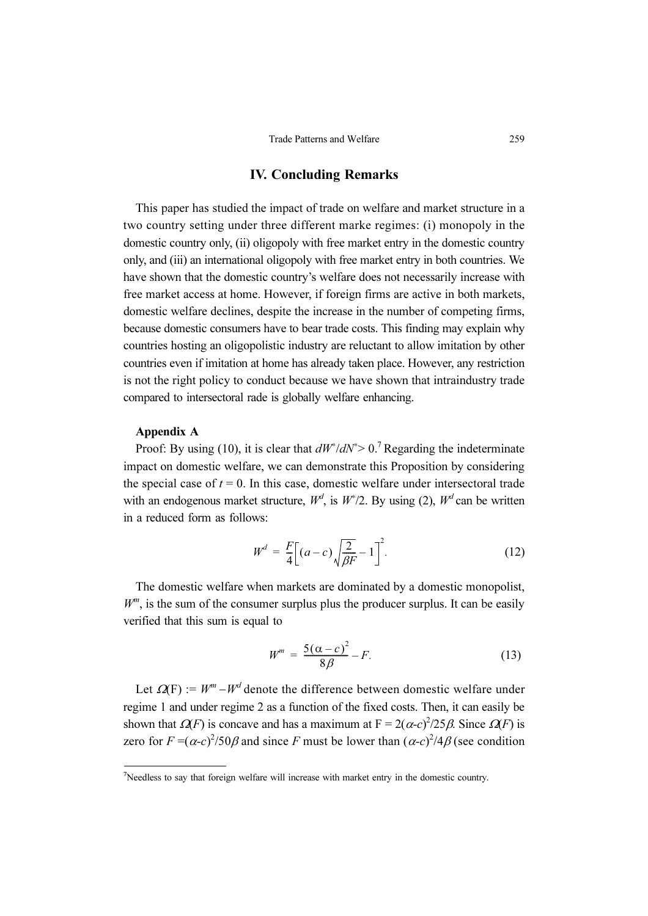### IV. Concluding Remarks

This paper has studied the impact of trade on welfare and market structure in a two country setting under three different marke regimes: (i) monopoly in the domestic country only, (ii) oligopoly with free market entry in the domestic country only, and (iii) an international oligopoly with free market entry in both countries. We have shown that the domestic country's welfare does not necessarily increase with free market access at home. However, if foreign firms are active in both markets, domestic welfare declines, despite the increase in the number of competing firms, because domestic consumers have to bear trade costs. This finding may explain why countries hosting an oligopolistic industry are reluctant to allow imitation by other countries even if imitation at home has already taken place. However, any restriction is not the right policy to conduct because we have shown that intraindustry trade compared to intersectoral rade is globally welfare enhancing.

#### Appendix A

Proof: By using (10), it is clear that  $dW^* / dN^* > 0$ .<sup>7</sup> Regarding the indeterminate impact on domestic welfare, we can demonstrate this Proposition by considering the special case of  $t = 0$ . In this case, domestic welfare under intersectoral trade with an endogenous market structure,  $W^d$ , is  $W^*/2$ . By using (2),  $W^d$  can be written in a reduced form as follows:

$$
W^{d} = \frac{F}{4} \Big[ (a - c) \sqrt{\frac{2}{\beta F}} - 1 \Big]^{2}.
$$
 (12)

The domestic welfare when markets are dominated by a domestic monopolist,  $W^m$ , is the sum of the consumer surplus plus the producer surplus. It can be easily verified that this sum is equal to

$$
W^m = \frac{5(\alpha - c)^2}{8\beta} - F.
$$
\n(13)

Let  $\Omega(F) := W^m - W^d$  denote the difference between domestic welfare under regime 1 and under regime 2 as a function of the fixed costs. Then, it can easily be shown that  $\Omega(F)$  is concave and has a maximum at  $F = 2(\alpha - c)^2/25\beta$ . Since  $\Omega(F)$  is zero for  $F = (\alpha - c)^2 / 50\beta$  and since F must be lower than  $(\alpha - c)^2 / 4\beta$  (see condition

<sup>7</sup> Needless to say that foreign welfare will increase with market entry in the domestic country.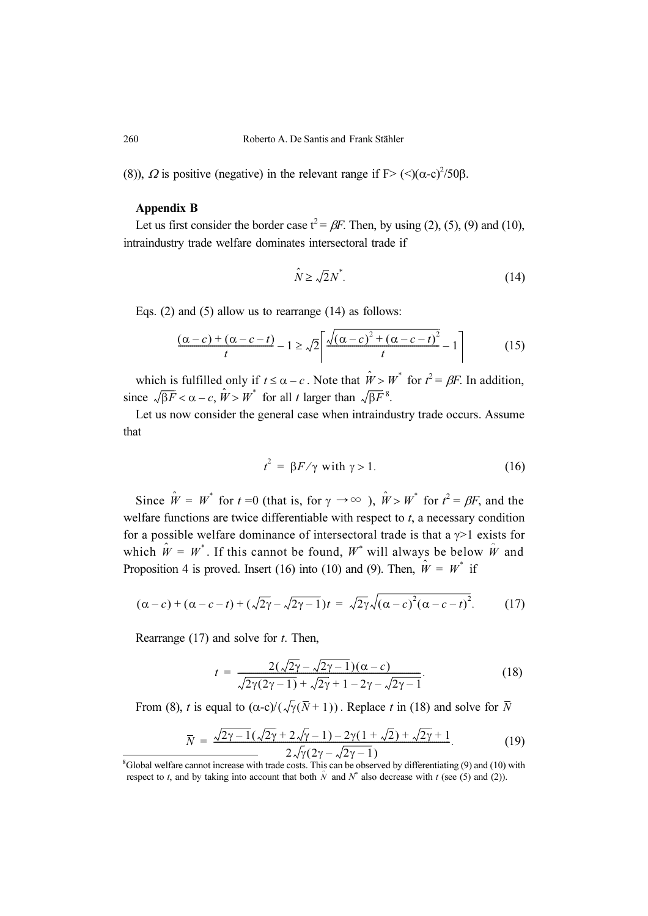(8)),  $\Omega$  is positive (negative) in the relevant range if F> (<)( $\alpha$ -c)<sup>2</sup>/50 $\beta$ .

#### Appendix B

Let us first consider the border case  $t^2 = \beta F$ . Then, by using (2), (5), (9) and (10), intraindustry trade welfare dominates intersectoral trade if

$$
\hat{N} \ge \sqrt{2}N^*.\tag{14}
$$

Eqs. (2) and (5) allow us to rearrange (14) as follows:

$$
\frac{(\alpha-c) + (\alpha-c-t)}{t} - 1 \ge \sqrt{2} \left[ \frac{\sqrt{(\alpha-c)^2 + (\alpha-c-t)^2}}{t} - 1 \right] \tag{15}
$$

which is fulfilled only if  $t \leq \alpha - c$ . Note that  $\hat{W} > W^*$  for  $t^2 = \beta F$ . In addition, since  $\sqrt{\beta F} < \alpha - c$ ,  $\hat{W} > W^*$  for all t larger than  $\sqrt{\beta F}^8$ .

Let us now consider the general case when intraindustry trade occurs. Assume that

$$
t^2 = \beta F / \gamma \text{ with } \gamma > 1. \tag{16}
$$

Since  $\hat{W} = W^*$  for  $t = 0$  (that is, for  $\gamma \to \infty$ ),  $\hat{W} > W^*$  for  $t^2 = \beta F$ , and the welfare functions are twice differentiable with respect to  $t$ , a necessary condition for a possible welfare dominance of intersectoral trade is that a  $\gamma$ >1 exists for which  $\hat{W} = W^*$ . If this cannot be found,  $W^*$  will always be below  $\hat{W}$  and Proposition 4 is proved. Insert (16) into (10) and (9). Then,  $\hat{W} = W^*$  if

$$
(\alpha - c) + (\alpha - c - t) + (\sqrt{2\gamma} - \sqrt{2\gamma - 1})t = \sqrt{2\gamma}\sqrt{(\alpha - c)^2(\alpha - c - t)^2}.
$$
 (17)

Rearrange  $(17)$  and solve for t. Then,

$$
t = \frac{2(\sqrt{2\gamma} - \sqrt{2\gamma - 1})(\alpha - c)}{\sqrt{2\gamma(2\gamma - 1)} + \sqrt{2\gamma} + 1 - 2\gamma - \sqrt{2\gamma - 1}}.
$$
\n(18)

From (8), t is equal to ( $\alpha$ -c)/( $\sqrt{\gamma}(\bar{N}+1)$ ). Replace t in (18) and solve for  $\bar{N}$ 

$$
\overline{N} = \frac{\sqrt{2\gamma - 1}(\sqrt{2\gamma + 2\sqrt{\gamma} - 1}) - 2\gamma(1 + \sqrt{2}) + \sqrt{2\gamma + 1}}{2\sqrt{\gamma}(2\gamma - \sqrt{2\gamma - 1})}.
$$
\n(19)

8 Global welfare cannot increase with trade costs. This can be observed by differentiating (9) and (10) with respect to t, and by taking into account that both  $\hat{N}$  and  $N^*$  also decrease with t (see (5) and (2)).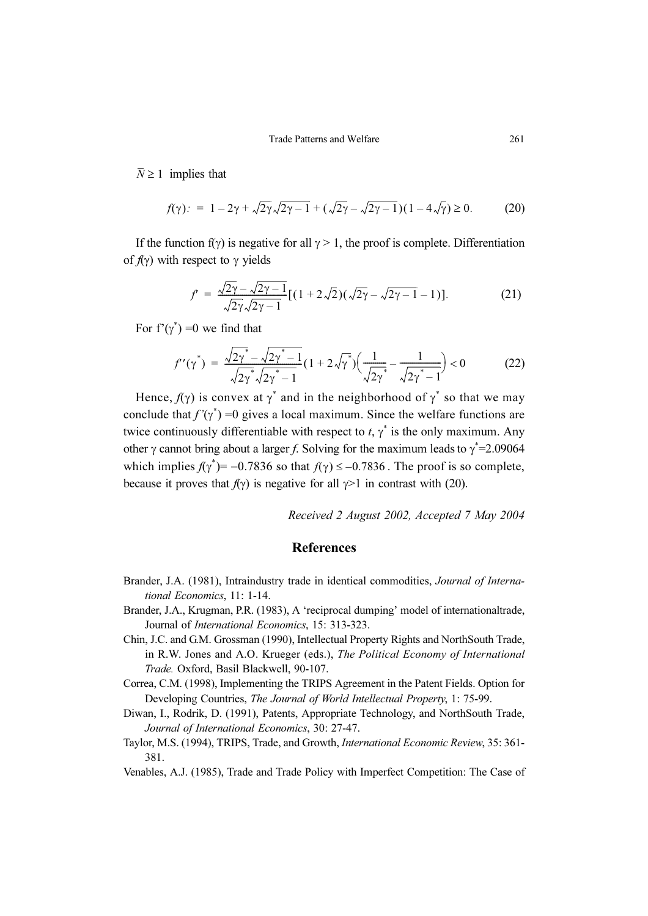$\overline{N} \geq 1$  implies that

$$
f(\gamma): = 1 - 2\gamma + \sqrt{2\gamma}\sqrt{2\gamma - 1} + (\sqrt{2\gamma} - \sqrt{2\gamma - 1})(1 - 4\sqrt{\gamma}) \ge 0.
$$
 (20)

If the function  $f(\gamma)$  is negative for all  $\gamma > 1$ , the proof is complete. Differentiation of  $f(\gamma)$  with respect to  $\gamma$  yields

$$
f' = \frac{\sqrt{2\gamma} - \sqrt{2\gamma - 1}}{\sqrt{2\gamma}\sqrt{2\gamma - 1}} [(1 + 2\sqrt{2})(\sqrt{2\gamma} - \sqrt{2\gamma - 1} - 1)].
$$
 (21)

For  $f'(\gamma^*) = 0$  we find that

$$
f'(\gamma^*) = \frac{\sqrt{2\gamma^*} - \sqrt{2\gamma^* - 1}}{\sqrt{2\gamma^*} \sqrt{2\gamma^* - 1}} (1 + 2\sqrt{\gamma^*}) \Big(\frac{1}{\sqrt{2\gamma^*}} - \frac{1}{\sqrt{2\gamma^* - 1}}\Big) < 0
$$
 (22)

Hence,  $f(\gamma)$  is convex at  $\gamma^*$  and in the neighborhood of  $\gamma^*$  so that we may conclude that  $f'(\gamma^*) = 0$  gives a local maximum. Since the welfare functions are twice continuously differentiable with respect to  $t, \gamma^*$  is the only maximum. Any other  $\gamma$  cannot bring about a larger f. Solving for the maximum leads to  $\gamma^*$ =2.09064 which implies  $f(\gamma^*) = -0.7836$  so that  $f(\gamma) \le -0.7836$ . The proof is so complete, because it proves that  $f(\gamma)$  is negative for all  $\gamma > 1$  in contrast with (20).

Received 2 August 2002, Accepted 7 May 2004

### References

- Brander, J.A. (1981), Intraindustry trade in identical commodities, Journal of International Economics, 11: 1-14.
- Brander, J.A., Krugman, P.R. (1983), A 'reciprocal dumping' model of internationaltrade, Journal of International Economics, 15: 313-323.
- Chin, J.C. and G.M. Grossman (1990), Intellectual Property Rights and NorthSouth Trade, in R.W. Jones and A.O. Krueger (eds.), The Political Economy of International Trade. Oxford, Basil Blackwell, 90-107.
- Correa, C.M. (1998), Implementing the TRIPS Agreement in the Patent Fields. Option for Developing Countries, The Journal of World Intellectual Property, 1: 75-99.
- Diwan, I., Rodrik, D. (1991), Patents, Appropriate Technology, and NorthSouth Trade, Journal of International Economics, 30: 27-47.
- Taylor, M.S. (1994), TRIPS, Trade, and Growth, International Economic Review, 35: 361- 381.
- Venables, A.J. (1985), Trade and Trade Policy with Imperfect Competition: The Case of